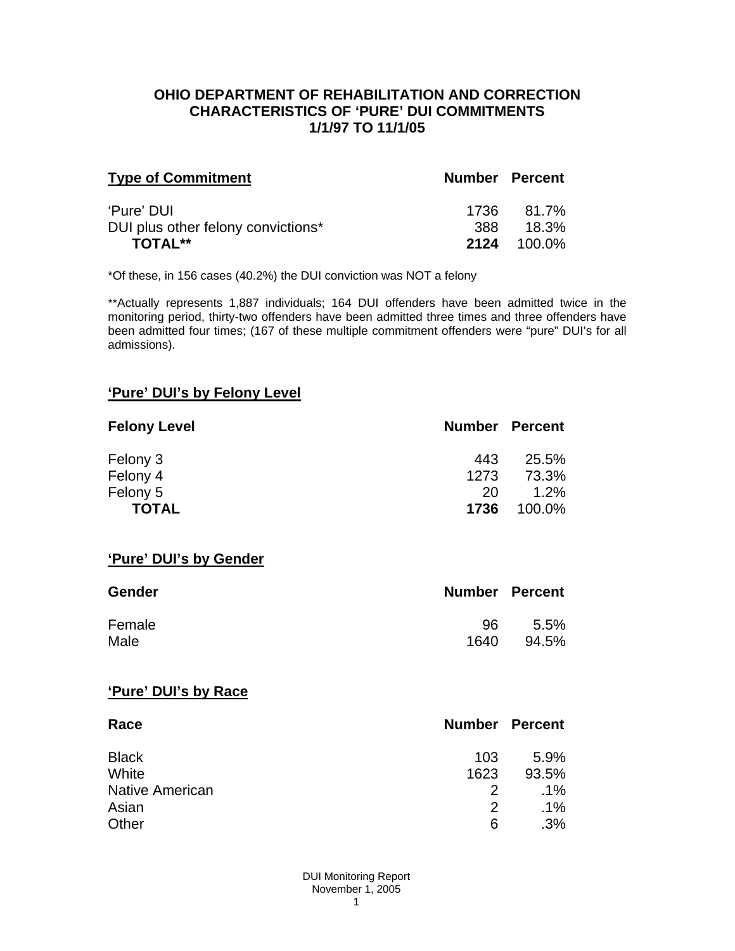#### **OHIO DEPARTMENT OF REHABILITATION AND CORRECTION CHARACTERISTICS OF 'PURE' DUI COMMITMENTS 1/1/97 TO 11/1/05**

| <b>Type of Commitment</b>          | <b>Number Percent</b> |                    |
|------------------------------------|-----------------------|--------------------|
| 'Pure' DUI                         | 1736                  | 81.7%              |
| DUI plus other felony convictions* | .388                  | 18.3%              |
| <b>TOTAL**</b>                     |                       | <b>2124</b> 100.0% |

\*Of these, in 156 cases (40.2%) the DUI conviction was NOT a felony

\*\*Actually represents 1,887 individuals; 164 DUI offenders have been admitted twice in the monitoring period, thirty-two offenders have been admitted three times and three offenders have been admitted four times; (167 of these multiple commitment offenders were "pure" DUI's for all admissions).

## **'Pure' DUI's by Felony Level**

| <b>Felony Level</b> | <b>Number Percent</b> |        |
|---------------------|-----------------------|--------|
| Felony 3            | 443                   | 25.5%  |
| Felony 4            | 1273                  | 73.3%  |
| Felony 5            | 20                    | 1.2%   |
| <b>TOTAL</b>        | 1736                  | 100.0% |

#### **'Pure' DUI's by Gender**

| Gender | <b>Number Percent</b> |       |
|--------|-----------------------|-------|
| Female | 96                    | 5.5%  |
| Male   | 1640                  | 94.5% |

#### **'Pure' DUI's by Race**

| Race                   | <b>Number Percent</b> |        |
|------------------------|-----------------------|--------|
| <b>Black</b>           | 103                   | 5.9%   |
| White                  | 1623                  | 93.5%  |
| <b>Native American</b> | $\mathcal{P}$         | $.1\%$ |
| Asian                  | $\mathcal{P}$         | $.1\%$ |
| Other                  | 6                     | .3%    |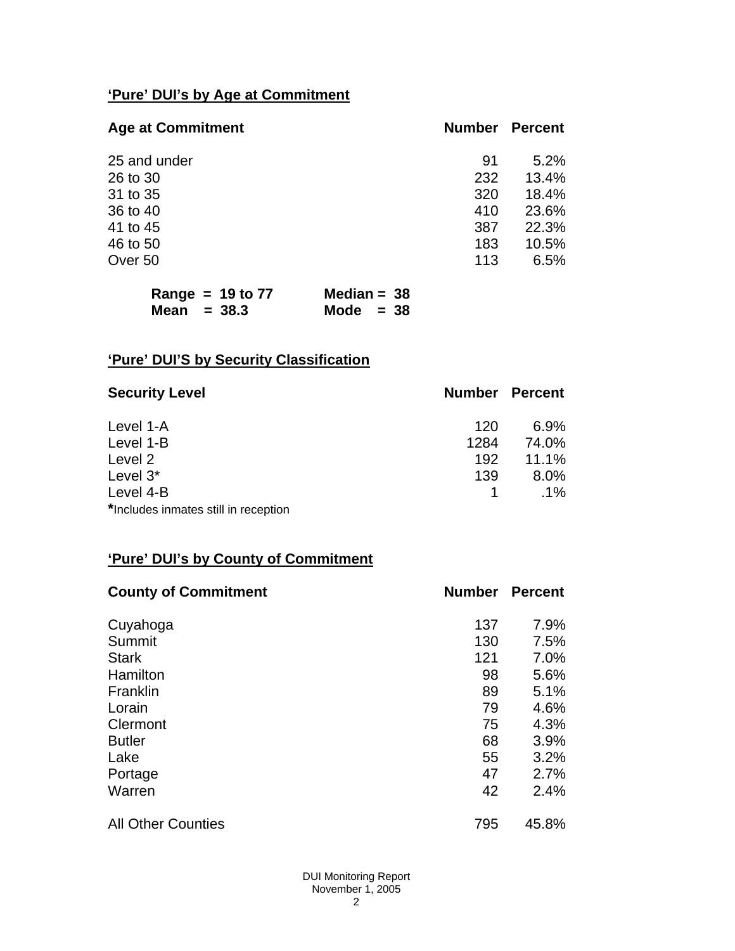# **'Pure' DUI's by Age at Commitment**

| <b>Age at Commitment</b> | <b>Number</b> | <b>Percent</b> |
|--------------------------|---------------|----------------|
| 25 and under             | 91            | 5.2%           |
| 26 to 30                 | 232           | 13.4%          |
| 31 to 35                 | 320           | 18.4%          |
| 36 to 40                 | 410           | 23.6%          |
| 41 to 45                 | 387           | 22.3%          |
| 46 to 50                 | 183           | 10.5%          |
| Over 50                  | 113           | 6.5%           |
|                          |               |                |

| Range = $19$ to $77$ | Median = $38$ |
|----------------------|---------------|
| Mean $= 38.3$        | Mode $= 38$   |

# **'Pure' DUI'S by Security Classification**

| <b>Security Level</b>                | <b>Number Percent</b> |        |
|--------------------------------------|-----------------------|--------|
| Level 1-A                            | 120                   | 6.9%   |
| Level 1-B                            | 1284                  | 74.0%  |
| Level 2                              | 192                   | 11.1%  |
| Level 3*                             | 139                   | 8.0%   |
| Level 4-B                            |                       | $.1\%$ |
| *Includes inmates still in reception |                       |        |

# **'Pure' DUI's by County of Commitment**

| <b>County of Commitment</b> | <b>Number</b> | <b>Percent</b> |
|-----------------------------|---------------|----------------|
| Cuyahoga                    | 137           | 7.9%           |
| Summit                      | 130           | 7.5%           |
| <b>Stark</b>                | 121           | 7.0%           |
| Hamilton                    | 98            | 5.6%           |
| Franklin                    | 89            | 5.1%           |
| Lorain                      | 79            | 4.6%           |
| Clermont                    | 75            | 4.3%           |
| <b>Butler</b>               | 68            | 3.9%           |
| Lake                        | 55            | 3.2%           |
| Portage                     | 47            | 2.7%           |
| Warren                      | 42            | 2.4%           |
| <b>All Other Counties</b>   | 795           | 45.8%          |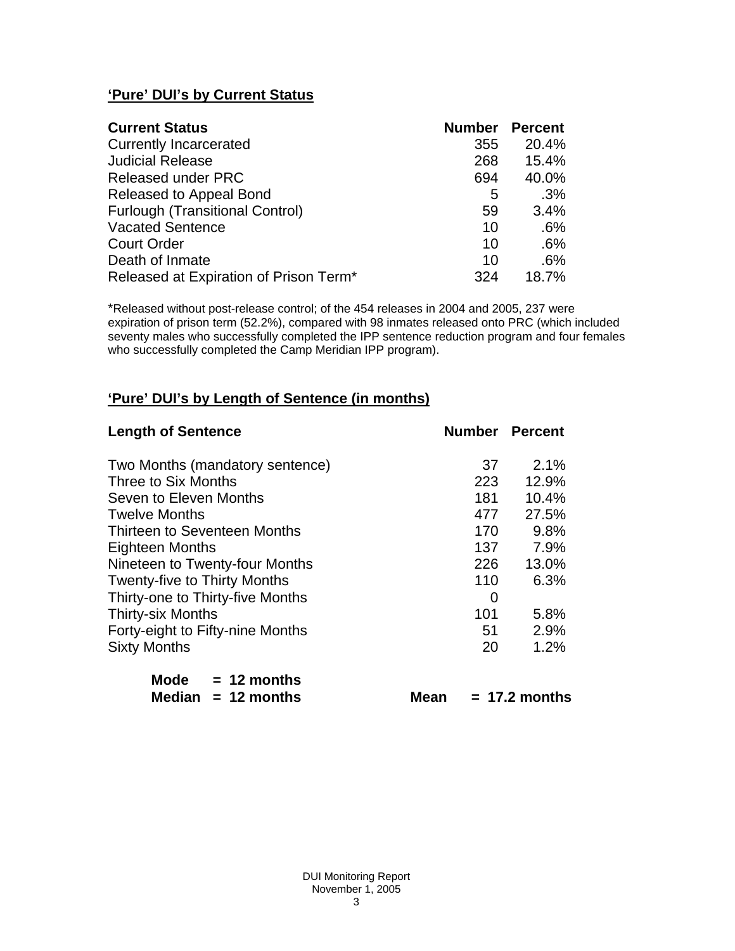# **'Pure' DUI's by Current Status**

| <b>Current Status</b>                  | <b>Number Percent</b> |       |
|----------------------------------------|-----------------------|-------|
| <b>Currently Incarcerated</b>          | 355                   | 20.4% |
| <b>Judicial Release</b>                | 268                   | 15.4% |
| <b>Released under PRC</b>              | 694                   | 40.0% |
| Released to Appeal Bond                | 5                     | .3%   |
| <b>Furlough (Transitional Control)</b> | 59                    | 3.4%  |
| <b>Vacated Sentence</b>                | 10                    | .6%   |
| <b>Court Order</b>                     | 10                    | .6%   |
| Death of Inmate                        | 10                    | .6%   |
| Released at Expiration of Prison Term* | 324                   | 18.7% |

\*Released without post-release control; of the 454 releases in 2004 and 2005, 237 were expiration of prison term (52.2%), compared with 98 inmates released onto PRC (which included seventy males who successfully completed the IPP sentence reduction program and four females who successfully completed the Camp Meridian IPP program).

# **'Pure' DUI's by Length of Sentence (in months)**

| <b>Length of Sentence</b>           | <b>Number Percent</b> |       |
|-------------------------------------|-----------------------|-------|
| Two Months (mandatory sentence)     | 37                    | 2.1%  |
| Three to Six Months                 | 223                   | 12.9% |
| Seven to Eleven Months              | 181                   | 10.4% |
| <b>Twelve Months</b>                | 477                   | 27.5% |
| Thirteen to Seventeen Months        | 170                   | 9.8%  |
| Eighteen Months                     | 137                   | 7.9%  |
| Nineteen to Twenty-four Months      | 226                   | 13.0% |
| <b>Twenty-five to Thirty Months</b> | 110                   | 6.3%  |
| Thirty-one to Thirty-five Months    | 0                     |       |
| <b>Thirty-six Months</b>            | 101                   | 5.8%  |
| Forty-eight to Fifty-nine Months    | 51                    | 2.9%  |
| <b>Sixty Months</b>                 | 20                    | 1.2%  |

| Mode | $= 12$ months        |
|------|----------------------|
|      | Median $= 12$ months |

 $Mean = 17.2$  months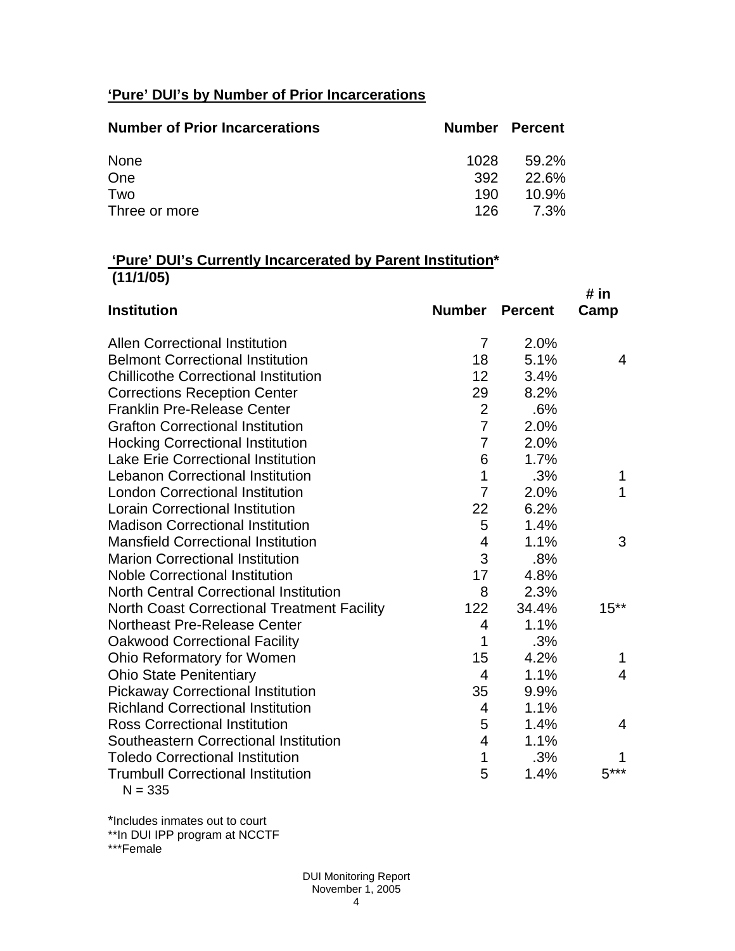# **'Pure' DUI's by Number of Prior Incarcerations**

| <b>Number of Prior Incarcerations</b> | <b>Number Percent</b> |          |
|---------------------------------------|-----------------------|----------|
| None                                  | 1028                  | 59.2%    |
| One                                   | 392                   | 22.6%    |
| Two                                   | 190                   | $10.9\%$ |
| Three or more                         | 126.                  | 7.3%     |

## **'Pure' DUI's Currently Incarcerated by Parent Institution\* (11/1/05)**

|                                                    |                |                | # in           |
|----------------------------------------------------|----------------|----------------|----------------|
| <b>Institution</b>                                 | <b>Number</b>  | <b>Percent</b> | Camp           |
| <b>Allen Correctional Institution</b>              | 7              | 2.0%           |                |
| <b>Belmont Correctional Institution</b>            | 18             | 5.1%           | 4              |
| <b>Chillicothe Correctional Institution</b>        | 12             | 3.4%           |                |
| <b>Corrections Reception Center</b>                | 29             | 8.2%           |                |
| <b>Franklin Pre-Release Center</b>                 | $\overline{2}$ | .6%            |                |
| <b>Grafton Correctional Institution</b>            | $\overline{7}$ | 2.0%           |                |
| <b>Hocking Correctional Institution</b>            | $\overline{7}$ | 2.0%           |                |
| <b>Lake Erie Correctional Institution</b>          | 6              | 1.7%           |                |
| <b>Lebanon Correctional Institution</b>            | 1              | .3%            | 1              |
| <b>London Correctional Institution</b>             | $\overline{7}$ | 2.0%           | $\mathbf{1}$   |
| <b>Lorain Correctional Institution</b>             | 22             | 6.2%           |                |
| <b>Madison Correctional Institution</b>            | 5              | 1.4%           |                |
| <b>Mansfield Correctional Institution</b>          | 4              | 1.1%           | 3              |
| <b>Marion Correctional Institution</b>             | 3              | .8%            |                |
| <b>Noble Correctional Institution</b>              | 17             | 4.8%           |                |
| <b>North Central Correctional Institution</b>      | 8              | 2.3%           |                |
| <b>North Coast Correctional Treatment Facility</b> | 122            | 34.4%          | $15**$         |
| <b>Northeast Pre-Release Center</b>                | $\overline{4}$ | 1.1%           |                |
| <b>Oakwood Correctional Facility</b>               | 1              | .3%            |                |
| Ohio Reformatory for Women                         | 15             | 4.2%           | 1              |
| <b>Ohio State Penitentiary</b>                     | $\overline{4}$ | 1.1%           | $\overline{4}$ |
| <b>Pickaway Correctional Institution</b>           | 35             | 9.9%           |                |
| <b>Richland Correctional Institution</b>           | 4              | 1.1%           |                |
| <b>Ross Correctional Institution</b>               | 5              | 1.4%           | $\overline{4}$ |
| Southeastern Correctional Institution              | 4              | 1.1%           |                |
| <b>Toledo Correctional Institution</b>             | $\overline{1}$ | .3%            |                |
| <b>Trumbull Correctional Institution</b>           | 5              | 1.4%           | $5***$         |
| $N = 335$                                          |                |                |                |

\*Includes inmates out to court

\*\*In DUI IPP program at NCCTF

\*\*\*Female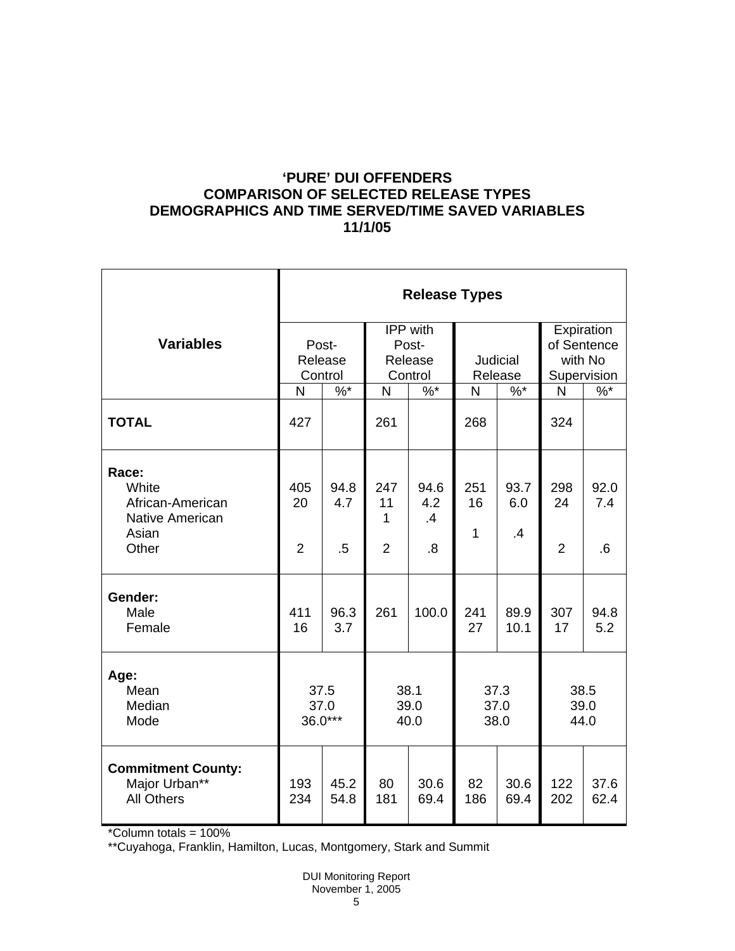## **'PURE' DUI OFFENDERS COMPARISON OF SELECTED RELEASE TYPES DEMOGRAPHICS AND TIME SERVED/TIME SAVED VARIABLES 11/1/05**

|                                                                                | <b>Release Types</b>             |                       |                                     |                         |                       |                   |                                      |                    |
|--------------------------------------------------------------------------------|----------------------------------|-----------------------|-------------------------------------|-------------------------|-----------------------|-------------------|--------------------------------------|--------------------|
| <b>Variables</b>                                                               | Post-<br>Release                 |                       | <b>IPP</b> with<br>Post-<br>Release |                         | <b>Judicial</b>       |                   | Expiration<br>of Sentence<br>with No |                    |
|                                                                                | Control<br>$%$ *<br>$\mathsf{N}$ |                       | Control<br>$%^*$<br>$\mathsf{N}$    |                         | Release<br>$%$ *<br>N |                   | Supervision<br>$%$ *<br>N            |                    |
| <b>TOTAL</b>                                                                   | 427                              |                       | 261                                 |                         | 268                   |                   | 324                                  |                    |
| Race:<br>White<br>African-American<br><b>Native American</b><br>Asian<br>Other | 405<br>20<br>2                   | 94.8<br>4.7<br>$.5\,$ | 247<br>11<br>1<br>$\overline{2}$    | 94.6<br>4.2<br>.4<br>.8 | 251<br>16<br>1        | 93.7<br>6.0<br>.4 | 298<br>24<br>$\overline{2}$          | 92.0<br>7.4<br>6.6 |
| Gender:<br>Male<br>Female                                                      | 411<br>16                        | 96.3<br>3.7           | 261                                 | 100.0                   | 241<br>27             | 89.9<br>10.1      | 307<br>17                            | 94.8<br>5.2        |
| Age:<br>Mean<br>Median<br>Mode                                                 | 37.5<br>37.0<br>36.0***          |                       | 38.1<br>39.0<br>40.0                |                         | 37.3<br>37.0<br>38.0  |                   | 38.5<br>39.0<br>44.0                 |                    |
| <b>Commitment County:</b><br>Major Urban**<br><b>All Others</b>                | 193<br>234                       | 45.2<br>54.8          | 80<br>181                           | 30.6<br>69.4            | 82<br>186             | 30.6<br>69.4      | 122<br>202                           | 37.6<br>62.4       |

<sup>\*</sup>Column totals = 100%

\*\*Cuyahoga, Franklin, Hamilton, Lucas, Montgomery, Stark and Summit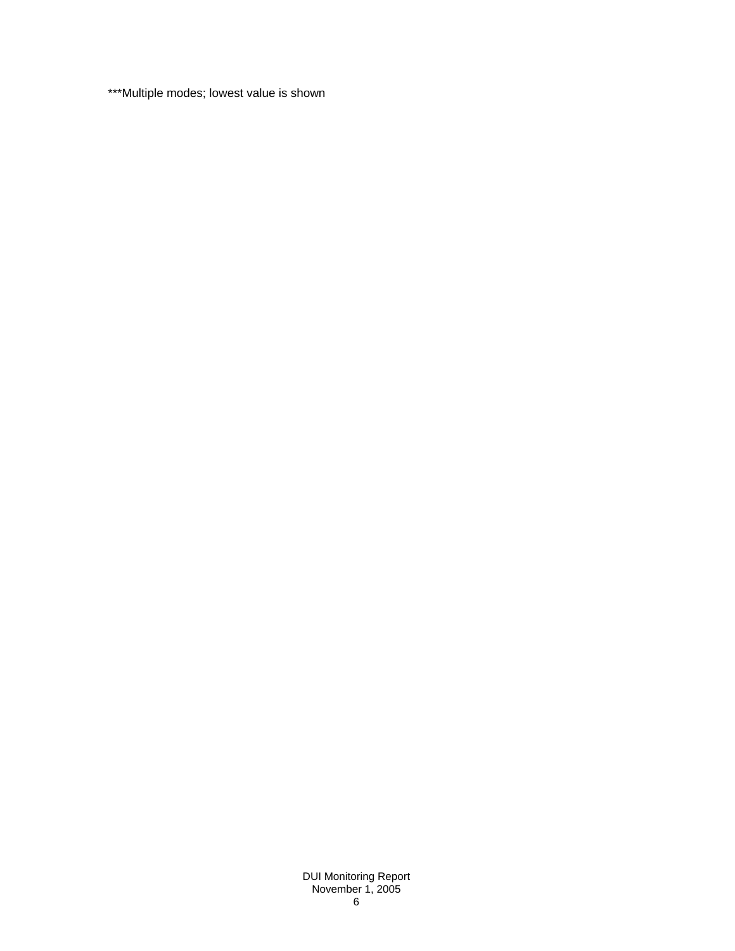\*\*\*Multiple modes; lowest value is shown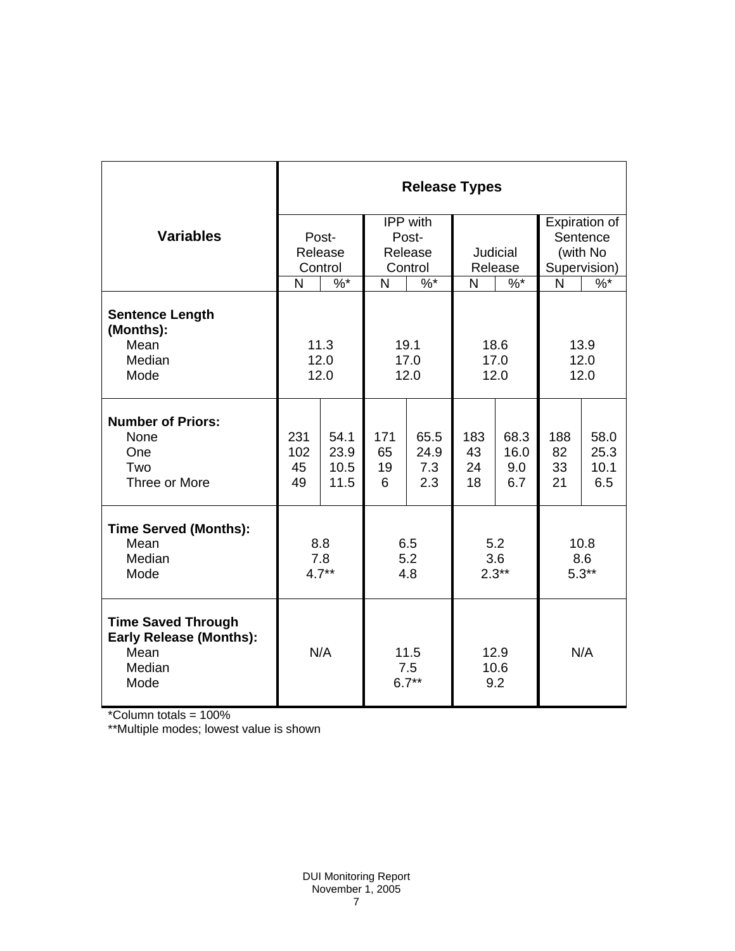|                                                                                       | <b>Release Types</b> |         |                                               |          |                |              |                |               |  |
|---------------------------------------------------------------------------------------|----------------------|---------|-----------------------------------------------|----------|----------------|--------------|----------------|---------------|--|
|                                                                                       |                      |         |                                               | IPP with |                |              |                | Expiration of |  |
| <b>Variables</b>                                                                      | Post-                |         | Post-                                         |          |                |              |                | Sentence      |  |
|                                                                                       | Release              |         | Release                                       |          | Judicial       |              | (with No       |               |  |
|                                                                                       |                      | Control |                                               | Control  |                | Release      | Supervision)   |               |  |
|                                                                                       | N                    | $\%$ *  | N                                             | $\%$ *   | N              | $%^*$        | $\mathsf{N}$   | $\frac{9}{6}$ |  |
| <b>Sentence Length</b><br>(Months):<br>Mean                                           |                      | 11.3    |                                               | 19.1     | 18.6           |              | 13.9           |               |  |
| Median                                                                                | 12.0                 |         | 17.0                                          |          | 17.0           |              | 12.0           |               |  |
| Mode                                                                                  | 12.0                 |         | 12.0                                          |          | 12.0           |              | 12.0           |               |  |
|                                                                                       |                      |         |                                               |          |                |              |                |               |  |
| <b>Number of Priors:</b>                                                              |                      | 54.1    |                                               | 65.5     |                |              |                |               |  |
| None<br>One                                                                           | 231<br>102           | 23.9    | 171<br>65                                     | 24.9     | 183<br>43      | 68.3<br>16.0 | 188<br>82      | 58.0<br>25.3  |  |
| Two                                                                                   | 45                   | 10.5    | 19                                            | 7.3      | 24             | 9.0          | 33             | 10.1          |  |
| Three or More                                                                         | 49                   | 11.5    | 6                                             | 2.3      | 18             | 6.7          | 21             | 6.5           |  |
|                                                                                       |                      |         |                                               |          |                |              |                |               |  |
| <b>Time Served (Months):</b>                                                          |                      |         |                                               |          |                |              |                |               |  |
| Mean                                                                                  | 8.8                  |         | 6.5                                           |          | 5.2            |              | 10.8           |               |  |
| Median<br>Mode                                                                        | 7.8<br>$4.7**$       |         | 5.2                                           |          | 3.6<br>$2.3**$ |              | 8.6<br>$5.3**$ |               |  |
|                                                                                       |                      |         | 4.8                                           |          |                |              |                |               |  |
| <b>Time Saved Through</b><br><b>Early Release (Months):</b><br>Mean<br>Median<br>Mode |                      | N/A     | 11.5<br>12.9<br>10.6<br>7.5<br>$6.7**$<br>9.2 |          |                | N/A          |                |               |  |

\*Column totals = 100%

\*\*Multiple modes; lowest value is shown